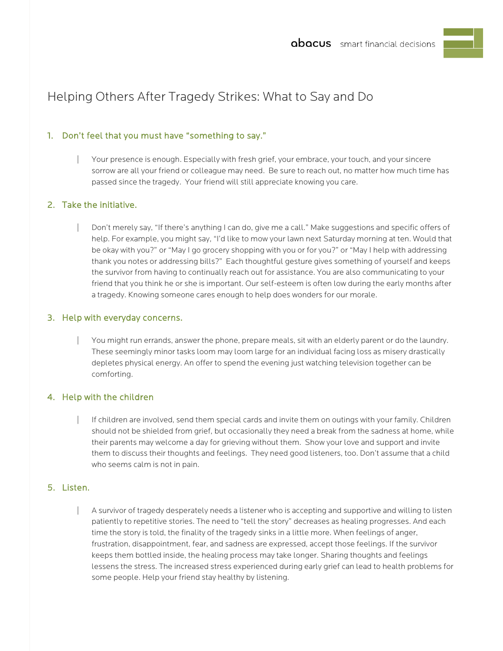# Helping Others After Tragedy Strikes: What to Say and Do

# 1. Don't feel that you must have "something to say."

| Your presence is enough. Especially with fresh grief, your embrace, your touch, and your sincere sorrow are all your friend or colleague may need. Be sure to reach out, no matter how much time has passed since the tragedy. Your friend will still appreciate knowing you care.

## 2. Take the initiative.

| Don't merely say, "If there's anything I can do, give me a call." Make suggestions and specific offers of help. For example, you might say, "I'd like to mow your lawn next Saturday morning at ten. Would that be okay with you?" or "May I go grocery shopping with you or for you?" or "May I help with addressing thank you notes or addressing bills?" Each thoughtful gesture gives something of yourself and keeps the survivor from having to continually reach out for assistance. You are also communicating to your friend that you think he or she is important. Our self-esteem is often low during the early months after a tragedy. Knowing someone cares enough to help does wonders for our morale.

#### 3. Help with everyday concerns.

You might run errands, answer the phone, prepare meals, sit with an elderly parent or do the laundry. These seemingly minor tasks loom may loom large for an individual facing loss as misery drastically depletes physical energy. An offer to spend the evening just watching television together can be comforting.

#### 4. Help with the children

If children are involved, send them special cards and invite them on outings with your family. Children should not be shielded from grief, but occasionally they need a break from the sadness at home, while their parents may welcome a day for grieving without them. Show your love and support and invite them to discuss their thoughts and feelings. They need good listeners, too. Don't assume that a child who seems calm is not in pain.

#### 5. Listen.

A survivor of tragedy desperately needs a listener who is accepting and supportive and willing to listen patiently to repetitive stories. The need to "tell the story" decreases as healing progresses. And each time the story is told, the finality of the tragedy sinks in a little more. When feelings of anger, frustration, disappointment, fear, and sadness are expressed, accept those feelings. If the survivor keeps them bottled inside, the healing process may take longer. Sharing thoughts and feelings lessens the stress. The increased stress experienced during early grief can lead to health problems for some people. Help your friend stay healthy by listening.